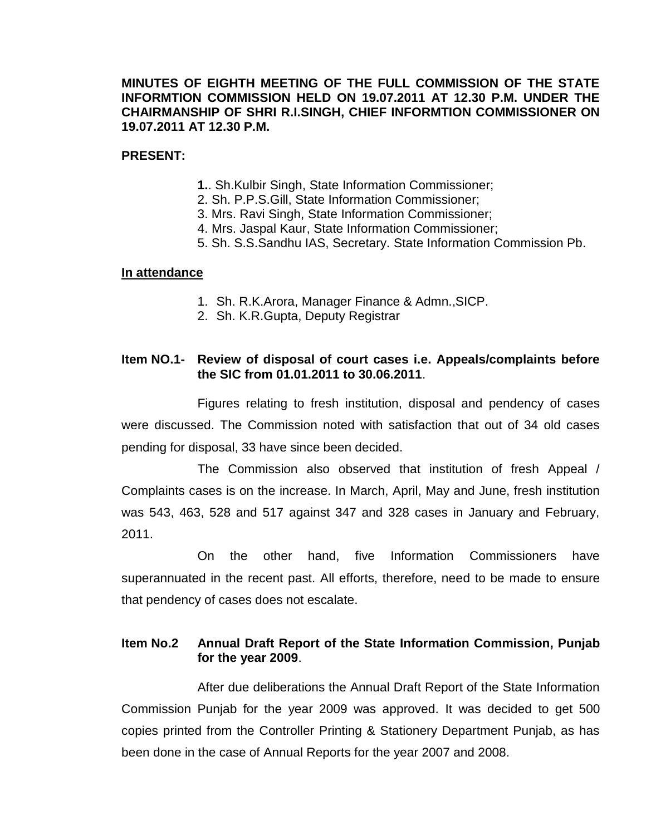## **MINUTES OF EIGHTH MEETING OF THE FULL COMMISSION OF THE STATE INFORMTION COMMISSION HELD ON 19.07.2011 AT 12.30 P.M. UNDER THE CHAIRMANSHIP OF SHRI R.I.SINGH, CHIEF INFORMTION COMMISSIONER ON 19.07.2011 AT 12.30 P.M.**

## **PRESENT:**

- **1.**. Sh.Kulbir Singh, State Information Commissioner;
- 2. Sh. P.P.S.Gill, State Information Commissioner;
- 3. Mrs. Ravi Singh, State Information Commissioner;
- 4. Mrs. Jaspal Kaur, State Information Commissioner;
- 5. Sh. S.S.Sandhu IAS, Secretary. State Information Commission Pb.

#### **In attendance**

- 1. Sh. R.K.Arora, Manager Finance & Admn.,SICP.
- 2. Sh. K.R.Gupta, Deputy Registrar

# **Item NO.1- Review of disposal of court cases i.e. Appeals/complaints before the SIC from 01.01.2011 to 30.06.2011**.

Figures relating to fresh institution, disposal and pendency of cases were discussed. The Commission noted with satisfaction that out of 34 old cases pending for disposal, 33 have since been decided.

The Commission also observed that institution of fresh Appeal / Complaints cases is on the increase. In March, April, May and June, fresh institution was 543, 463, 528 and 517 against 347 and 328 cases in January and February, 2011.

On the other hand, five Information Commissioners have superannuated in the recent past. All efforts, therefore, need to be made to ensure that pendency of cases does not escalate.

# **Item No.2 Annual Draft Report of the State Information Commission, Punjab for the year 2009**.

After due deliberations the Annual Draft Report of the State Information Commission Punjab for the year 2009 was approved. It was decided to get 500 copies printed from the Controller Printing & Stationery Department Punjab, as has been done in the case of Annual Reports for the year 2007 and 2008.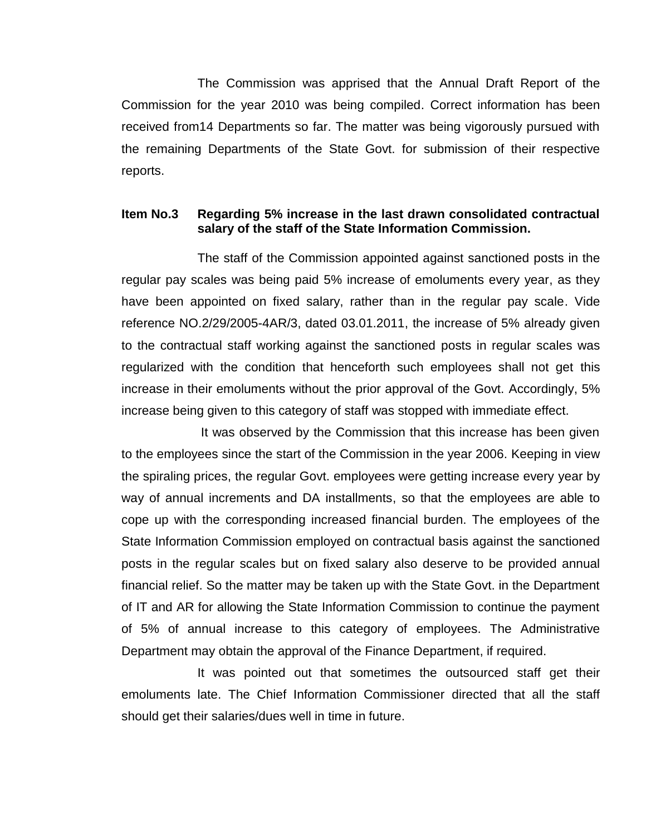The Commission was apprised that the Annual Draft Report of the Commission for the year 2010 was being compiled. Correct information has been received from14 Departments so far. The matter was being vigorously pursued with the remaining Departments of the State Govt. for submission of their respective reports.

### **Item No.3 Regarding 5% increase in the last drawn consolidated contractual salary of the staff of the State Information Commission.**

The staff of the Commission appointed against sanctioned posts in the regular pay scales was being paid 5% increase of emoluments every year, as they have been appointed on fixed salary, rather than in the regular pay scale. Vide reference NO.2/29/2005-4AR/3, dated 03.01.2011, the increase of 5% already given to the contractual staff working against the sanctioned posts in regular scales was regularized with the condition that henceforth such employees shall not get this increase in their emoluments without the prior approval of the Govt. Accordingly, 5% increase being given to this category of staff was stopped with immediate effect.

It was observed by the Commission that this increase has been given to the employees since the start of the Commission in the year 2006. Keeping in view the spiraling prices, the regular Govt. employees were getting increase every year by way of annual increments and DA installments, so that the employees are able to cope up with the corresponding increased financial burden. The employees of the State Information Commission employed on contractual basis against the sanctioned posts in the regular scales but on fixed salary also deserve to be provided annual financial relief. So the matter may be taken up with the State Govt. in the Department of IT and AR for allowing the State Information Commission to continue the payment of 5% of annual increase to this category of employees. The Administrative Department may obtain the approval of the Finance Department, if required.

It was pointed out that sometimes the outsourced staff get their emoluments late. The Chief Information Commissioner directed that all the staff should get their salaries/dues well in time in future.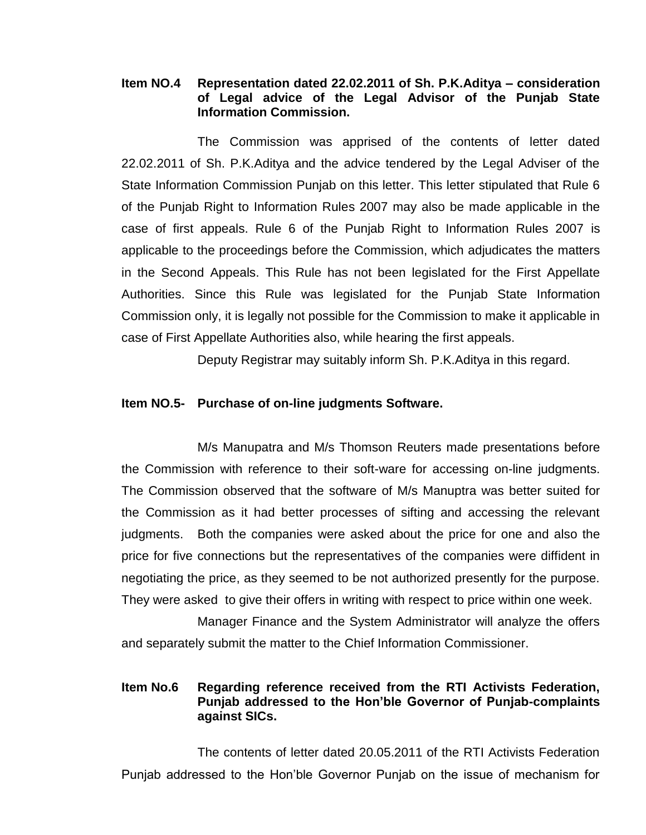### **Item NO.4 Representation dated 22.02.2011 of Sh. P.K.Aditya – consideration of Legal advice of the Legal Advisor of the Punjab State Information Commission.**

The Commission was apprised of the contents of letter dated 22.02.2011 of Sh. P.K.Aditya and the advice tendered by the Legal Adviser of the State Information Commission Punjab on this letter. This letter stipulated that Rule 6 of the Punjab Right to Information Rules 2007 may also be made applicable in the case of first appeals. Rule 6 of the Punjab Right to Information Rules 2007 is applicable to the proceedings before the Commission, which adjudicates the matters in the Second Appeals. This Rule has not been legislated for the First Appellate Authorities. Since this Rule was legislated for the Punjab State Information Commission only, it is legally not possible for the Commission to make it applicable in case of First Appellate Authorities also, while hearing the first appeals.

Deputy Registrar may suitably inform Sh. P.K.Aditya in this regard.

### **Item NO.5- Purchase of on-line judgments Software.**

M/s Manupatra and M/s Thomson Reuters made presentations before the Commission with reference to their soft-ware for accessing on-line judgments. The Commission observed that the software of M/s Manuptra was better suited for the Commission as it had better processes of sifting and accessing the relevant judgments. Both the companies were asked about the price for one and also the price for five connections but the representatives of the companies were diffident in negotiating the price, as they seemed to be not authorized presently for the purpose. They were asked to give their offers in writing with respect to price within one week.

Manager Finance and the System Administrator will analyze the offers and separately submit the matter to the Chief Information Commissioner.

## **Item No.6 Regarding reference received from the RTI Activists Federation, Punjab addressed to the Hon'ble Governor of Punjab-complaints against SICs.**

The contents of letter dated 20.05.2011 of the RTI Activists Federation Punjab addressed to the Hon'ble Governor Punjab on the issue of mechanism for